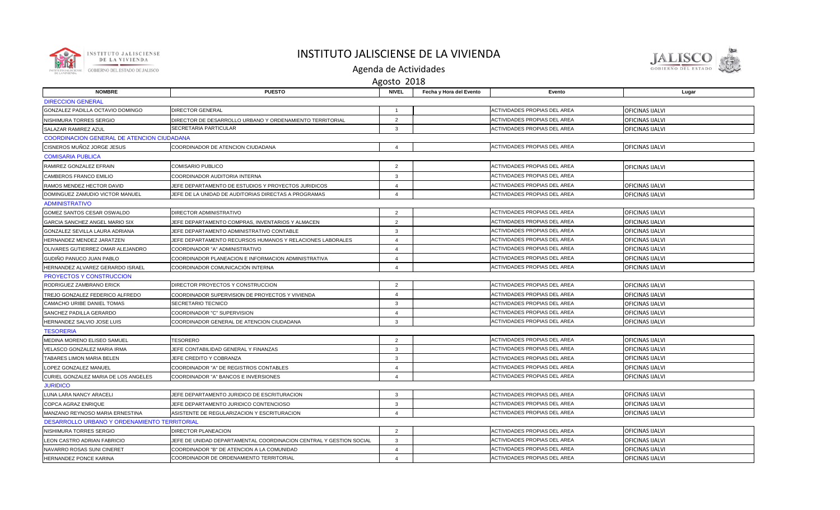

## INSTITUTO JALISCIENSE DE LA VIVIENDA



Agenda de Actividades

| Agosto 2018                                       |                                                                    |                        |                         |                                     |                        |  |  |  |  |  |
|---------------------------------------------------|--------------------------------------------------------------------|------------------------|-------------------------|-------------------------------------|------------------------|--|--|--|--|--|
| <b>NOMBRE</b>                                     | <b>PUESTO</b>                                                      | <b>NIVEL</b>           | Fecha y Hora del Evento | Evento                              | Lugar                  |  |  |  |  |  |
| <b>DIRECCION GENERAL</b>                          |                                                                    |                        |                         |                                     |                        |  |  |  |  |  |
| GONZALEZ PADILLA OCTAVIO DOMINGO                  | <b>DIRECTOR GENERAL</b>                                            |                        |                         | ACTIVIDADES PROPIAS DEL AREA        | OFICINAS IJALVI        |  |  |  |  |  |
| NISHIMURA TORRES SERGIO                           | DIRECTOR DE DESARROLLO URBANO Y ORDENAMIENTO TERRITORIAL           | $\overline{2}$         |                         | ACTIVIDADES PROPIAS DEL AREA        | OFICINAS IJALVI        |  |  |  |  |  |
| SALAZAR RAMIREZ AZUL                              | SECRETARIA PARTICULAR                                              | $\mathbf{3}$           |                         | ACTIVIDADES PROPIAS DEL AREA        | OFICINAS IJALVI        |  |  |  |  |  |
| <b>COORDINACION GENERAL DE ATENCION CIUDADANA</b> |                                                                    |                        |                         |                                     |                        |  |  |  |  |  |
| CISNEROS MUÑOZ JORGE JESUS                        | COORDINADOR DE ATENCION CIUDADANA                                  | $\overline{4}$         |                         | ACTIVIDADES PROPIAS DEL AREA        | <b>OFICINAS IJALVI</b> |  |  |  |  |  |
| <b>COMISARIA PUBLICA</b>                          |                                                                    |                        |                         |                                     |                        |  |  |  |  |  |
| RAMIREZ GONZALEZ EFRAIN                           | <b>COMISARIO PUBLICO</b>                                           | $\overline{2}$         |                         | ACTIVIDADES PROPIAS DEL AREA        | OFICINAS IJALVI        |  |  |  |  |  |
| CAMBEROS FRANCO EMILIO                            | COORDINADOR AUDITORIA INTERNA                                      | 3                      |                         | ACTIVIDADES PROPIAS DEL AREA        |                        |  |  |  |  |  |
| RAMOS MENDEZ HECTOR DAVID                         | JEFE DEPARTAMENTO DE ESTUDIOS Y PROYECTOS JURIDICOS                | $\overline{4}$         |                         | ACTIVIDADES PROPIAS DEL AREA        | OFICINAS IJALVI        |  |  |  |  |  |
| DOMINGUEZ ZAMUDIO VICTOR MANUEL                   | JEFE DE LA UNIDAD DE AUDITORIAS DIRECTAS A PROGRAMAS               | $\overline{4}$         |                         | ACTIVIDADES PROPIAS DEL AREA        | OFICINAS IJALVI        |  |  |  |  |  |
| <b>ADMINISTRATIVO</b>                             |                                                                    |                        |                         |                                     |                        |  |  |  |  |  |
| GOMEZ SANTOS CESAR OSWALDO                        | DIRECTOR ADMINISTRATIVO                                            | 2                      |                         | ACTIVIDADES PROPIAS DEL AREA        | <b>OFICINAS IJALVI</b> |  |  |  |  |  |
| GARCIA SANCHEZ ANGEL MARIO SIX                    | JEFE DEPARTAMENTO COMPRAS, INVENTARIOS Y ALMACEN                   | 2                      |                         | ACTIVIDADES PROPIAS DEL AREA        | <b>OFICINAS IJALVI</b> |  |  |  |  |  |
| GONZALEZ SEVILLA LAURA ADRIANA                    | JEFE DEPARTAMENTO ADMINISTRATIVO CONTABLE                          | 3                      |                         | ACTIVIDADES PROPIAS DEL AREA        | OFICINAS IJALVI        |  |  |  |  |  |
| HERNANDEZ MENDEZ JARATZEN                         | JEFE DEPARTAMENTO RECURSOS HUMANOS Y RELACIONES LABORALES          | $\overline{4}$         |                         | ACTIVIDADES PROPIAS DEL AREA        | OFICINAS IJALVI        |  |  |  |  |  |
| OLIVARES GUTIERREZ OMAR ALEJANDRO                 | COORDINADOR "A" ADMINISTRATIVO                                     | $\overline{4}$         |                         | <b>ACTIVIDADES PROPIAS DEL AREA</b> | OFICINAS IJALVI        |  |  |  |  |  |
| GUDIÑO PANUCO JUAN PABLO                          | COORDINADOR PLANEACION E INFORMACION ADMINISTRATIVA                | $\overline{4}$         |                         | ACTIVIDADES PROPIAS DEL AREA        | OFICINAS IJALVI        |  |  |  |  |  |
| HERNANDEZ ALVAREZ GERARDO ISRAEL                  | COORDINADOR COMUNICACIÓN INTERNA                                   | $\boldsymbol{\Lambda}$ |                         | ACTIVIDADES PROPIAS DEL AREA        | OFICINAS IJALVI        |  |  |  |  |  |
| PROYECTOS Y CONSTRUCCION                          |                                                                    |                        |                         |                                     |                        |  |  |  |  |  |
| RODRIGUEZ ZAMBRANO ERICK                          | DIRECTOR PROYECTOS Y CONSTRUCCION                                  | $\overline{2}$         |                         | ACTIVIDADES PROPIAS DEL AREA        | <b>OFICINAS IJALVI</b> |  |  |  |  |  |
| TREJO GONZALEZ FEDERICO ALFREDO                   | COORDINADOR SUPERVISION DE PROYECTOS Y VIVIENDA                    | $\overline{4}$         |                         | <b>ACTIVIDADES PROPIAS DEL AREA</b> | OFICINAS IJALVI        |  |  |  |  |  |
| CAMACHO URIBE DANIEL TOMAS                        | SECRETARIO TECNICO                                                 | 3                      |                         | ACTIVIDADES PROPIAS DEL AREA        | OFICINAS IJALVI        |  |  |  |  |  |
| SANCHEZ PADILLA GERARDO                           | COORDINADOR "C" SUPERVISION                                        | $\overline{4}$         |                         | ACTIVIDADES PROPIAS DEL AREA        | <b>OFICINAS IJALVI</b> |  |  |  |  |  |
| HERNANDEZ SALVIO JOSE LUIS                        | COORDINADOR GENERAL DE ATENCION CIUDADANA                          | $\mathbf{3}$           |                         | ACTIVIDADES PROPIAS DEL AREA        | <b>OFICINAS IJALVI</b> |  |  |  |  |  |
| <b>TESORERIA</b>                                  |                                                                    |                        |                         |                                     |                        |  |  |  |  |  |
| MEDINA MORENO ELISEO SAMUEL                       | <b>TESORERO</b>                                                    | 2                      |                         | ACTIVIDADES PROPIAS DEL AREA        | <b>OFICINAS IJALVI</b> |  |  |  |  |  |
| VELASCO GONZALEZ MARIA IRMA                       | JEFE CONTABILIDAD GENERAL Y FINANZAS                               | 3                      |                         | ACTIVIDADES PROPIAS DEL AREA        | OFICINAS IJALVI        |  |  |  |  |  |
| TABARES LIMON MARIA BELEN                         | JEFE CREDITO Y COBRANZA                                            | $\mathbf{3}$           |                         | ACTIVIDADES PROPIAS DEL AREA        | <b>OFICINAS IJALVI</b> |  |  |  |  |  |
| LOPEZ GONZALEZ MANUEL                             | COORDINADOR "A" DE REGISTROS CONTABLES                             | $\overline{4}$         |                         | <b>ACTIVIDADES PROPIAS DEL AREA</b> | <b>OFICINAS IJALVI</b> |  |  |  |  |  |
| CURIEL GONZALEZ MARIA DE LOS ANGELES              | COORDINADOR "A" BANCOS E INVERSIONES                               | $\overline{4}$         |                         | ACTIVIDADES PROPIAS DEL AREA        | OFICINAS IJALVI        |  |  |  |  |  |
| <b>JURIDICO</b>                                   |                                                                    |                        |                         |                                     |                        |  |  |  |  |  |
| LUNA LARA NANCY ARACELI                           | JEFE DEPARTAMENTO JURIDICO DE ESCRITURACION                        | 3                      |                         | ACTIVIDADES PROPIAS DEL AREA        | OFICINAS IJALVI        |  |  |  |  |  |
| COPCA AGRAZ ENRIQUE                               | JEFE DEPARTAMENTO JURIDICO CONTENCIOSO                             | $\mathbf{3}$           |                         | ACTIVIDADES PROPIAS DEL AREA        | OFICINAS IJALVI        |  |  |  |  |  |
| MANZANO REYNOSO MARIA ERNESTINA                   | ASISTENTE DE REGULARIZACION Y ESCRITURACION                        | $\Delta$               |                         | <b>ACTIVIDADES PROPIAS DEL AREA</b> | <b>OFICINAS IJALVI</b> |  |  |  |  |  |
| DESARROLLO URBANO Y ORDENAMIENTO TERRITORIAL      |                                                                    |                        |                         |                                     |                        |  |  |  |  |  |
| NISHIMURA TORRES SERGIO                           | <b>DIRECTOR PLANEACION</b>                                         | 2                      |                         | ACTIVIDADES PROPIAS DEL AREA        | OFICINAS IJALVI        |  |  |  |  |  |
| LEON CASTRO ADRIAN FABRICIO                       | JEFE DE UNIDAD DEPARTAMENTAL COORDINACION CENTRAL Y GESTION SOCIAL | $\mathbf{3}$           |                         | ACTIVIDADES PROPIAS DEL AREA        | OFICINAS IJALVI        |  |  |  |  |  |
| NAVARRO ROSAS SUNI CINERET                        | COORDINADOR "B" DE ATENCION A LA COMUNIDAD                         | $\overline{4}$         |                         | <b>ACTIVIDADES PROPIAS DEL AREA</b> | OFICINAS IJALVI        |  |  |  |  |  |
| <b>HERNANDEZ PONCE KARINA</b>                     | COORDINADOR DE ORDENAMIENTO TERRITORIAL                            | $\overline{4}$         |                         | <b>ACTIVIDADES PROPIAS DEL AREA</b> | <b>OFICINAS IJALVI</b> |  |  |  |  |  |